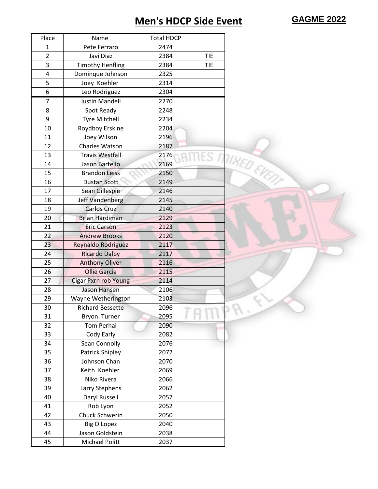## **Men's HDCP Side Event GAGME 2022**

| Place          | Name                        | <b>Total HDCP</b> |            |                    |
|----------------|-----------------------------|-------------------|------------|--------------------|
| 1              | Pete Ferraro                | 2474              |            |                    |
| $\overline{2}$ | Javi Diaz                   | 2384              | <b>TIE</b> |                    |
| 3              | <b>Timothy Henfling</b>     | 2384              | <b>TIE</b> |                    |
| 4              | Dominque Johnson            | 2325              |            |                    |
| 5              | Joey Koehler                | 2314              |            |                    |
| 6              | Leo Rodriguez               | 2304              |            |                    |
| 7              | <b>Justin Mandell</b>       | 2270              |            |                    |
| 8              | Spot Ready                  | 2248              |            |                    |
| 9              | <b>Tyre Mitchell</b>        | 2234              |            |                    |
| 10             | Roydboy Erskine             | 2204              |            |                    |
| 11             | Joey Wilson                 | 2196              |            |                    |
| 12             | Charles Watson              | 2187              |            |                    |
| 13             | <b>Travis Westfall</b>      | 2176              |            |                    |
| 14             | Jason Bartello              | 2169              |            |                    |
| 15             | <b>Brandon Leiss</b>        | 2150              |            |                    |
| 16             | <b>Dustan Scott</b>         | 2149              |            | <b>TIKED EVENT</b> |
| 17             | Sean Gillespie              | 2146              |            |                    |
| 18             | Jeff Vandenberg             | 2145              |            |                    |
| 19             | <b>Carlos Cruz</b>          | 2140              |            |                    |
| 20             | <b>Brian Hardiman</b>       | 2129              |            |                    |
| 21             | <b>Eric Carson</b>          | 2123              |            |                    |
| 22             | <b>Andrew Brooks</b>        | 2120              |            |                    |
| 23             | Reynaldo Rodriguez          | 2117              |            |                    |
| 24             | <b>Ricardo Dalby</b>        | 2117              |            |                    |
| 25             | <b>Anthony Oliver</b>       | 2116              |            |                    |
| 26             | <b>Ollie Garcia</b>         | 2115              |            |                    |
| 27             | <b>Cigar Pxrn rob Young</b> | 2114              |            |                    |
| 28             | <b>Jason Hansen</b>         | 2106              |            |                    |
| 29             | Wayne Wetherington          | 2103              |            |                    |
| 30             | <b>Richard Bessette</b>     | 2096              |            |                    |
| 31             | Bryon Turner                | 2095              |            |                    |
| 32             | Tom Perhai                  | 2090              |            |                    |
| 33             | Cody Early                  | 2082              |            |                    |
| 34             | Sean Connolly               | 2076              |            |                    |
| 35             | Patrick Shipley             | 2072              |            |                    |
| 36             | Johnson Chan                | 2070              |            |                    |
| 37             | Keith Koehler               | 2069              |            |                    |
| 38             | Niko Rivera                 | 2066              |            |                    |
| 39             | Larry Stephens              | 2062              |            |                    |
| 40             | Daryl Russell               | 2057              |            |                    |
| 41             | Rob Lyon                    | 2052              |            |                    |
| 42             | Chuck Schwerin              | 2050              |            |                    |
| 43             | <b>Big O Lopez</b>          | 2040              |            |                    |
| 44             | Jason Goldstein             | 2038              |            |                    |
| 45             | Michael Politt              | 2037              |            |                    |